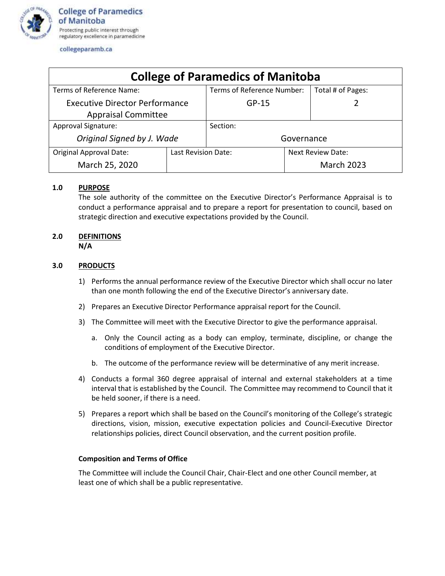

collegeparamb.ca

| <b>College of Paramedics of Manitoba</b> |                     |                            |                          |                   |
|------------------------------------------|---------------------|----------------------------|--------------------------|-------------------|
| Terms of Reference Name:                 |                     | Terms of Reference Number: |                          | Total # of Pages: |
| <b>Executive Director Performance</b>    |                     | $GP-15$                    |                          |                   |
| <b>Appraisal Committee</b>               |                     |                            |                          |                   |
| <b>Approval Signature:</b>               |                     | Section:                   |                          |                   |
| Original Signed by J. Wade               |                     | Governance                 |                          |                   |
| <b>Original Approval Date:</b>           | Last Revision Date: |                            | <b>Next Review Date:</b> |                   |
| March 25, 2020                           |                     |                            |                          | <b>March 2023</b> |

## **1.0 PURPOSE**

The sole authority of the committee on the Executive Director's Performance Appraisal is to conduct a performance appraisal and to prepare a report for presentation to council, based on strategic direction and executive expectations provided by the Council.

### **2.0 DEFINITIONS N/A**

# **3.0 PRODUCTS**

- 1) Performs the annual performance review of the Executive Director which shall occur no later than one month following the end of the Executive Director's anniversary date.
- 2) Prepares an Executive Director Performance appraisal report for the Council.
- 3) The Committee will meet with the Executive Director to give the performance appraisal.
	- a. Only the Council acting as a body can employ, terminate, discipline, or change the conditions of employment of the Executive Director.
	- b. The outcome of the performance review will be determinative of any merit increase.
- 4) Conducts a formal 360 degree appraisal of internal and external stakeholders at a time interval that is established by the Council. The Committee may recommend to Council that it be held sooner, if there is a need.
- 5) Prepares a report which shall be based on the Council's monitoring of the College's strategic directions, vision, mission, executive expectation policies and Council-Executive Director relationships policies, direct Council observation, and the current position profile.

#### **Composition and Terms of Office**

The Committee will include the Council Chair, Chair-Elect and one other Council member, at least one of which shall be a public representative.